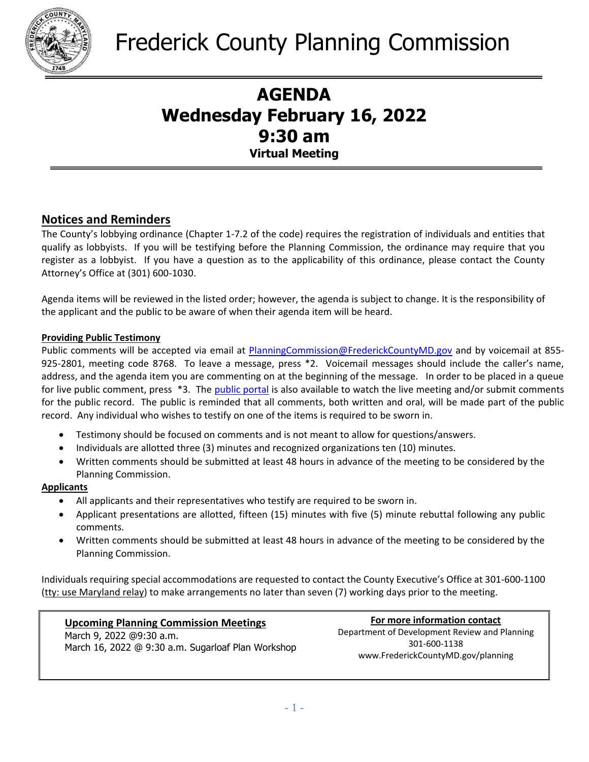

## **AGENDA Wednesday February 16, 2022 9:30 am Virtual Meeting**

## **Notices and Reminders**

The County's lobbying ordinance (Chapter 1-7.2 of the code) requires the registration of individuals and entities that qualify as lobbyists. If you will be testifying before the Planning Commission, the ordinance may require that you register as a lobbyist. If you have a question as to the applicability of this ordinance, please contact the County Attorney's Office at (301) 600-1030.

Agenda items will be reviewed in the listed order; however, the agenda is subject to change. It is the responsibility of the applicant and the public to be aware of when their agenda item will be heard.

### **Providing Public Testimony**

Public comments will be accepted via email at [PlanningCommission@FrederickCountyMD.gov](mailto:PlanningCommission@FrederickCountyMD.gov) and by voicemail at 855-925-2801, meeting code 8768. To leave a message, press \*2. Voicemail messages should include the caller's name, address, and the agenda item you are commenting on at the beginning of the message. In order to be placed in a queue for live public comment, press \*3. The [public portal](https://publicinput.com/I5804) is also available to watch the live meeting and/or submit comments for the public record. The public is reminded that all comments, both written and oral, will be made part of the public record. Any individual who wishes to testify on one of the items is required to be sworn in.

- Testimony should be focused on comments and is not meant to allow for questions/answers.
- Individuals are allotted three (3) minutes and recognized organizations ten (10) minutes.
- Written comments should be submitted at least 48 hours in advance of the meeting to be considered by the Planning Commission.

### **Applicants**

- All applicants and their representatives who testify are required to be sworn in.
- Applicant presentations are allotted, fifteen (15) minutes with five (5) minute rebuttal following any public comments.
- Written comments should be submitted at least 48 hours in advance of the meeting to be considered by the Planning Commission.

Individuals requiring special accommodations are requested to contact the County Executive's Office at 301-600-1100 (tty: use Maryland relay) to make arrangements no later than seven (7) working days prior to the meeting.

### **Upcoming Planning Commission Meetings**

 March 9, 2022 @9:30 a.m. March 16, 2022 @ 9:30 a.m. Sugarloaf Plan Workshop

**For more information contact** Department of Development Review and Planning 301-600-1138 www.FrederickCountyMD.gov/planning